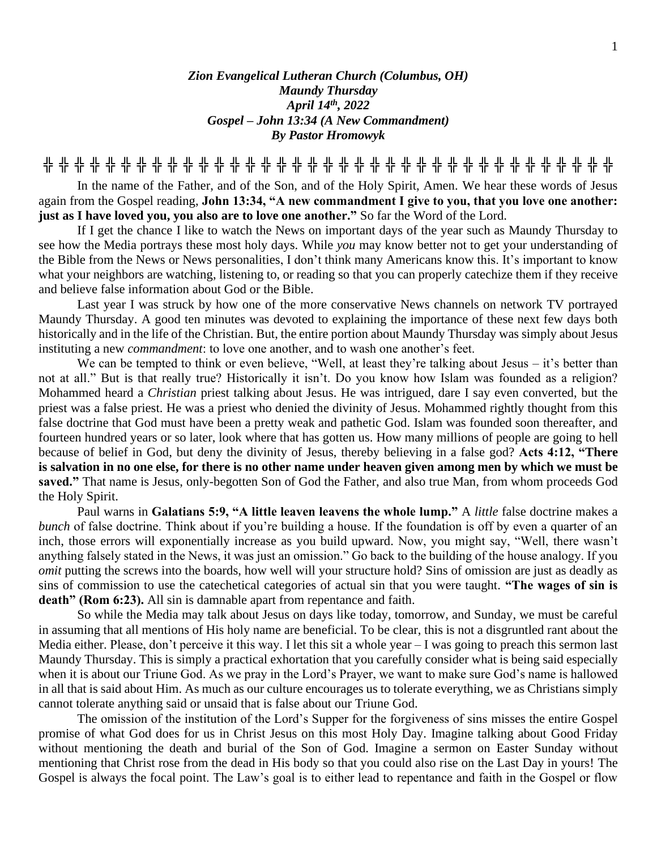## *Zion Evangelical Lutheran Church (Columbus, OH) Maundy Thursday April 14th , 2022 Gospel – John 13:34 (A New Commandment) By Pastor Hromowyk*

**╬ ╬ ╬ ╬ ╬ ╬ ╬ ╬ ╬ ╬ ╬ ╬ ╬ ╬ ╬ ╬ ╬ ╬ ╬ ╬ ╬ ╬ ╬ ╬ ╬ ╬ ╬ ╬ ╬ ╬ ╬ ╬ ╬ ╬ ╬ ╬ ╬**

In the name of the Father, and of the Son, and of the Holy Spirit, Amen. We hear these words of Jesus again from the Gospel reading, **John 13:34, "A new commandment I give to you, that you love one another: just as I have loved you, you also are to love one another."** So far the Word of the Lord.

If I get the chance I like to watch the News on important days of the year such as Maundy Thursday to see how the Media portrays these most holy days. While *you* may know better not to get your understanding of the Bible from the News or News personalities, I don't think many Americans know this. It's important to know what your neighbors are watching, listening to, or reading so that you can properly catechize them if they receive and believe false information about God or the Bible.

Last year I was struck by how one of the more conservative News channels on network TV portrayed Maundy Thursday. A good ten minutes was devoted to explaining the importance of these next few days both historically and in the life of the Christian. But, the entire portion about Maundy Thursday was simply about Jesus instituting a new *commandment*: to love one another, and to wash one another's feet.

We can be tempted to think or even believe, "Well, at least they're talking about Jesus – it's better than not at all." But is that really true? Historically it isn't. Do you know how Islam was founded as a religion? Mohammed heard a *Christian* priest talking about Jesus. He was intrigued, dare I say even converted, but the priest was a false priest. He was a priest who denied the divinity of Jesus. Mohammed rightly thought from this false doctrine that God must have been a pretty weak and pathetic God. Islam was founded soon thereafter, and fourteen hundred years or so later, look where that has gotten us. How many millions of people are going to hell because of belief in God, but deny the divinity of Jesus, thereby believing in a false god? **Acts 4:12, "There is salvation in no one else, for there is no other name under heaven given among men by which we must be saved."** That name is Jesus, only-begotten Son of God the Father, and also true Man, from whom proceeds God the Holy Spirit.

Paul warns in **Galatians 5:9, "A little leaven leavens the whole lump."** A *little* false doctrine makes a *bunch* of false doctrine. Think about if you're building a house. If the foundation is off by even a quarter of an inch, those errors will exponentially increase as you build upward. Now, you might say, "Well, there wasn't anything falsely stated in the News, it was just an omission." Go back to the building of the house analogy. If you *omit* putting the screws into the boards, how well will your structure hold? Sins of omission are just as deadly as sins of commission to use the catechetical categories of actual sin that you were taught. **"The wages of sin is death" (Rom 6:23).** All sin is damnable apart from repentance and faith.

So while the Media may talk about Jesus on days like today, tomorrow, and Sunday, we must be careful in assuming that all mentions of His holy name are beneficial. To be clear, this is not a disgruntled rant about the Media either. Please, don't perceive it this way. I let this sit a whole year – I was going to preach this sermon last Maundy Thursday. This is simply a practical exhortation that you carefully consider what is being said especially when it is about our Triune God. As we pray in the Lord's Prayer, we want to make sure God's name is hallowed in all that is said about Him. As much as our culture encourages us to tolerate everything, we as Christians simply cannot tolerate anything said or unsaid that is false about our Triune God.

The omission of the institution of the Lord's Supper for the forgiveness of sins misses the entire Gospel promise of what God does for us in Christ Jesus on this most Holy Day. Imagine talking about Good Friday without mentioning the death and burial of the Son of God. Imagine a sermon on Easter Sunday without mentioning that Christ rose from the dead in His body so that you could also rise on the Last Day in yours! The Gospel is always the focal point. The Law's goal is to either lead to repentance and faith in the Gospel or flow